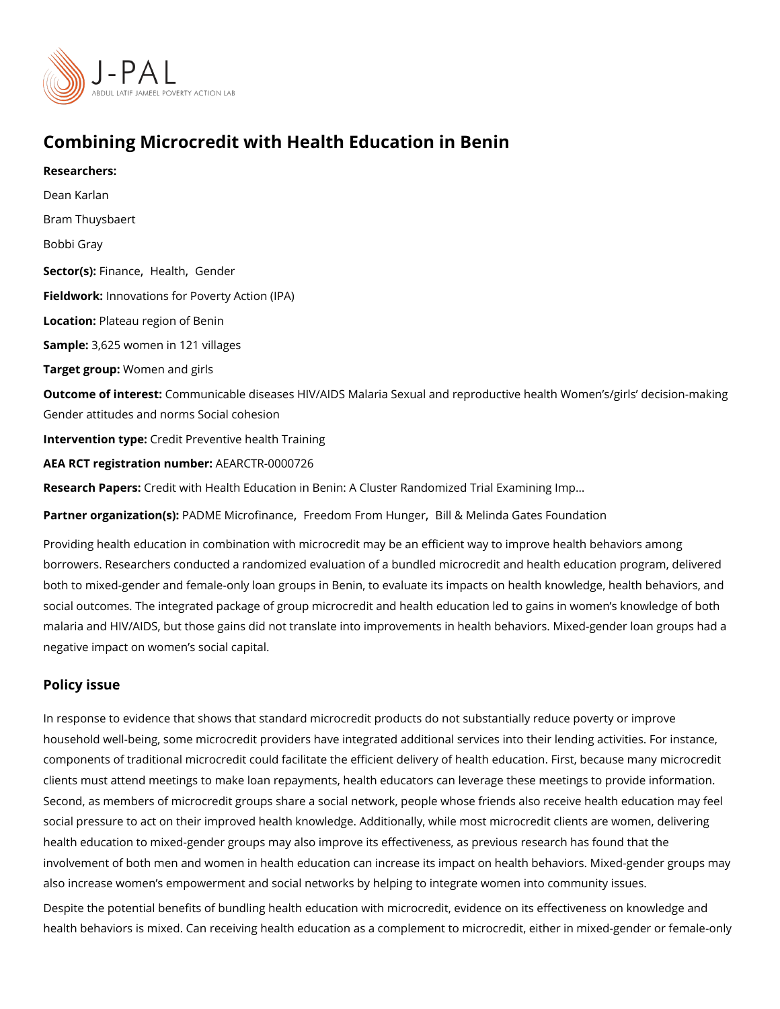# Combining Microcredit with Health Education in Benin

Researchers: [Dean Ka](https://www.povertyactionlab.org/person/karlan)rlan Bram Thuysbaert Bobbi Gray Sector(Fsi)n an[,](https://www.povertyactionlab.org/sector/health) clee alth [Gend](https://www.povertyactionlab.org/sector/gender)er Fieldworkhnovations for Poverty Action (IPA) Locatio Plateau region of Benin Sample: 625 women in 121 villages Target grow/pm:men and girls Outcome of inteCestmunicable diseases HIV/AIDS Malaria Sexual and reproductive health ' Gender attitudes and norms Social cohesion Intervention topedit Preventive health Training AEA RCT registration AnEuAnRbGeTR-0000726 Research Pa<sub>peessit</sub> with Health Education in Benin: A Cluster Randomized Trial Examining Partner organizatProAnD(MS)E MicrofinFaneedom From HBs inde& Melinda Gates Foundation

Providing health education in combination with microcredit may be an efficient way to imp borrowers. Researchers conducted a randomized evaluation of a bundled microcredit and both to mixed-gender and female-only loan groups in Benin, to evaluate its impacts on he social outcomes. The integrated package of group microcredit and health education led to malaria and HIV/AIDS, but those gains did not translate into improvements in health beha negative impact on women s social capital.

#### Policy issue

In response to evidence that shows that standard microcredit products do not substantiall household well-being, some microcredit providers have integrated additional services into components of traditional microcredit could facilitate the efficient delivery of health educ clients must attend meetings to make loan repayments, health educators can leverage the Second, as members of microcredit groups share a social network, people whose friends a social pressure to act on their improved health knowledge. Additionally, while most micro health education to mixed-gender groups may also improve its effectiveness, as previous involvement of both men and women in health education can increase its impact on health also increase women s empowerment and social networks by helping to integrate women ir Despite the potential benefits of bundling health eoduidzetri**oe w**inthitsmedif**ecentek de b, wsle**dge and health behaviors is mixed. Can receiving health education as a complement to microcredit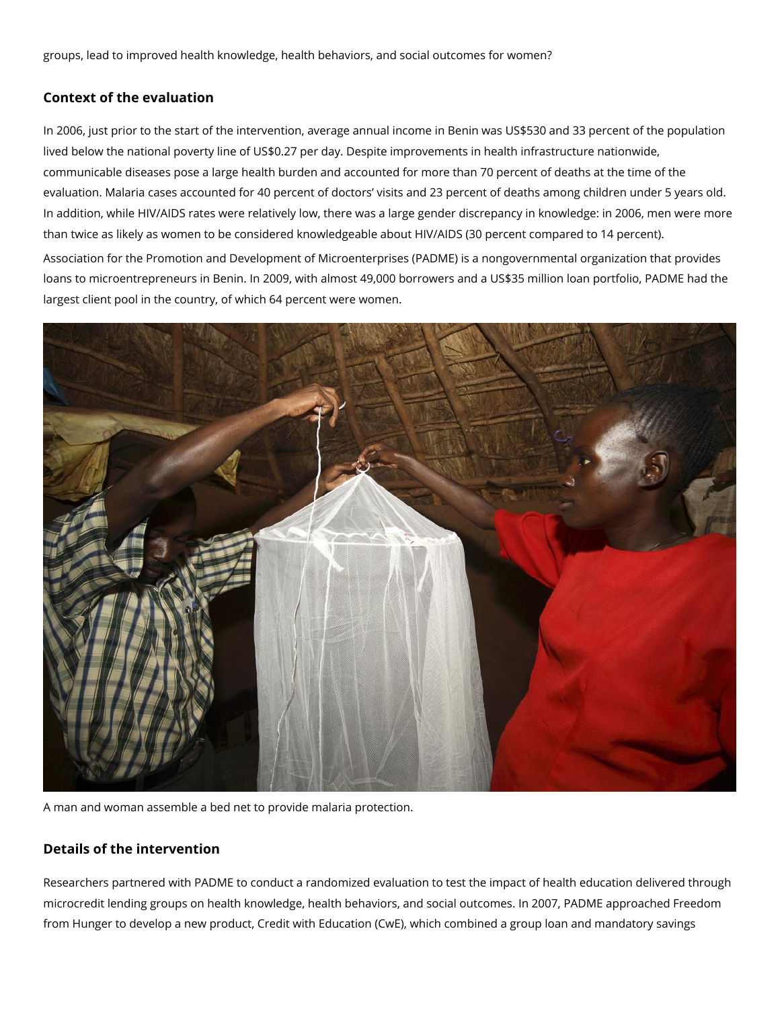groups, lead to improved health knowledge, health behaviors, and social outcomes for women?

### **Context of the evaluation**

In 2006, just prior to the start of the intervention, average annual income in Benin was US\$530 and 33 percent of the population lived below the national poverty line of US\$0.27 per day. Despite improvements in health infrastructure nationwide, communicable diseases pose a large health burden and accounted for more than 70 percent of deaths at the time of the evaluation. Malaria cases accounted for 40 percent of doctors' visits and 23 percent of deaths among children under 5 years old. In addition, while HIV/AIDS rates were relatively low, there was a large gender discrepancy in knowledge: in 2006, men were more than twice as likely as women to be considered knowledgeable about HIV/AIDS (30 percent compared to 14 percent).

Association for the Promotion and Development of Microenterprises (PADME) is a nongovernmental organization that provides loans to microentrepreneurs in Benin. In 2009, with almost 49,000 borrowers and a US\$35 million loan portfolio, PADME had the largest client pool in the country, of which 64 percent were women.



A man and woman assemble a bed net to provide malaria protection.

## **Details of the intervention**

Researchers partnered with PADME to conduct a randomized evaluation to test the impact of health education delivered through microcredit lending groups on health knowledge, health behaviors, and social outcomes. In 2007, PADME approached Freedom from Hunger to develop a new product, Credit with Education (CwE), which combined a group loan and mandatory savings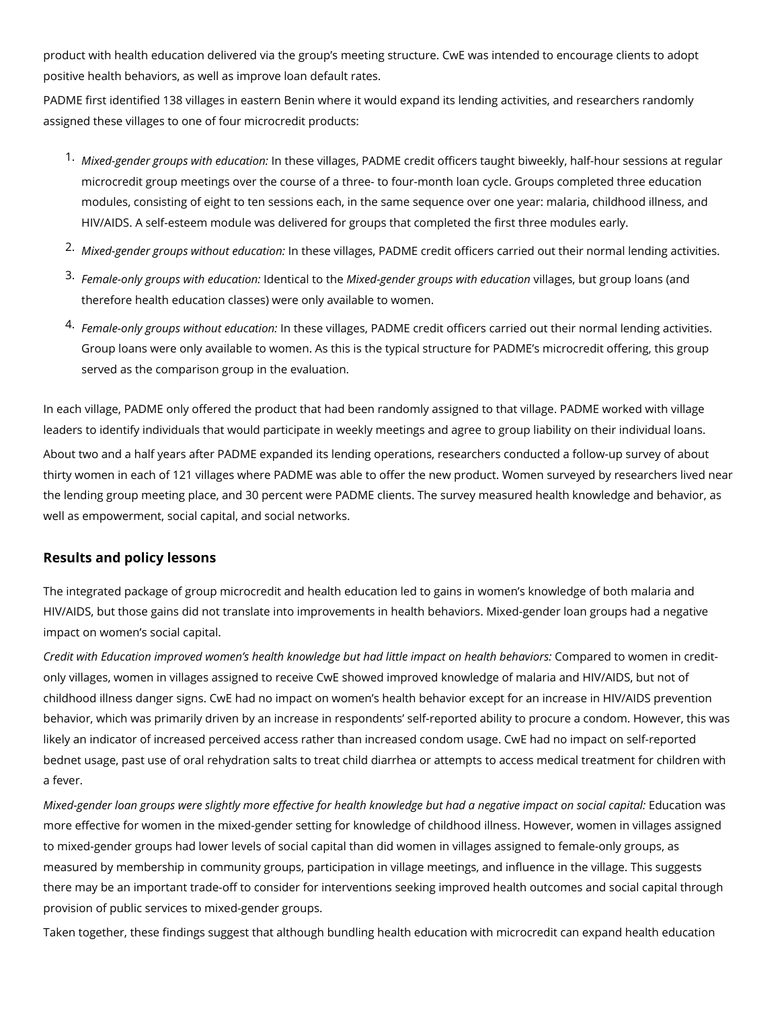product with health education delivered via the group's meeting structure. CwE was intended to encourage clients to adopt positive health behaviors, as well as improve loan default rates.

PADME first identified 138 villages in eastern Benin where it would expand its lending activities, and researchers randomly assigned these villages to one of four microcredit products:

- 1. *Mixed-gender groups with education:* In these villages, PADME credit officers taught biweekly, half-hour sessions at regular microcredit group meetings over the course of a three- to four-month loan cycle. Groups completed three education modules, consisting of eight to ten sessions each, in the same sequence over one year: malaria, childhood illness, and HIV/AIDS. A self-esteem module was delivered for groups that completed the first three modules early.
- 2. *Mixed-gender groups without education:* In these villages, PADME credit officers carried out their normal lending activities.
- 3. *Female-only groups with education:* Identical to the *Mixed-gender groups with education* villages, but group loans (and therefore health education classes) were only available to women.
- 4. *Female-only groups without education:* In these villages, PADME credit officers carried out their normal lending activities. Group loans were only available to women. As this is the typical structure for PADME's microcredit offering, this group served as the comparison group in the evaluation.

In each village, PADME only offered the product that had been randomly assigned to that village. PADME worked with village leaders to identify individuals that would participate in weekly meetings and agree to group liability on their individual loans.

About two and a half years after PADME expanded its lending operations, researchers conducted a follow-up survey of about thirty women in each of 121 villages where PADME was able to offer the new product. Women surveyed by researchers lived near the lending group meeting place, and 30 percent were PADME clients. The survey measured health knowledge and behavior, as well as empowerment, social capital, and social networks.

#### **Results and policy lessons**

The integrated package of group microcredit and health education led to gains in women's knowledge of both malaria and HIV/AIDS, but those gains did not translate into improvements in health behaviors. Mixed-gender loan groups had a negative impact on women's social capital.

*Credit with Education improved women's health knowledge but had little impact on health behaviors:* Compared to women in creditonly villages, women in villages assigned to receive CwE showed improved knowledge of malaria and HIV/AIDS, but not of childhood illness danger signs. CwE had no impact on women's health behavior except for an increase in HIV/AIDS prevention behavior, which was primarily driven by an increase in respondents' self-reported ability to procure a condom. However, this was likely an indicator of increased perceived access rather than increased condom usage. CwE had no impact on self-reported bednet usage, past use of oral rehydration salts to treat child diarrhea or attempts to access medical treatment for children with a fever.

*Mixed-gender loan groups were slightly more effective for health knowledge but had a negative impact on social capital:* Education was more effective for women in the mixed-gender setting for knowledge of childhood illness. However, women in villages assigned to mixed-gender groups had lower levels of social capital than did women in villages assigned to female-only groups, as measured by membership in community groups, participation in village meetings, and influence in the village. This suggests there may be an important trade-off to consider for interventions seeking improved health outcomes and social capital through provision of public services to mixed-gender groups.

Taken together, these findings suggest that although bundling health education with microcredit can expand health education